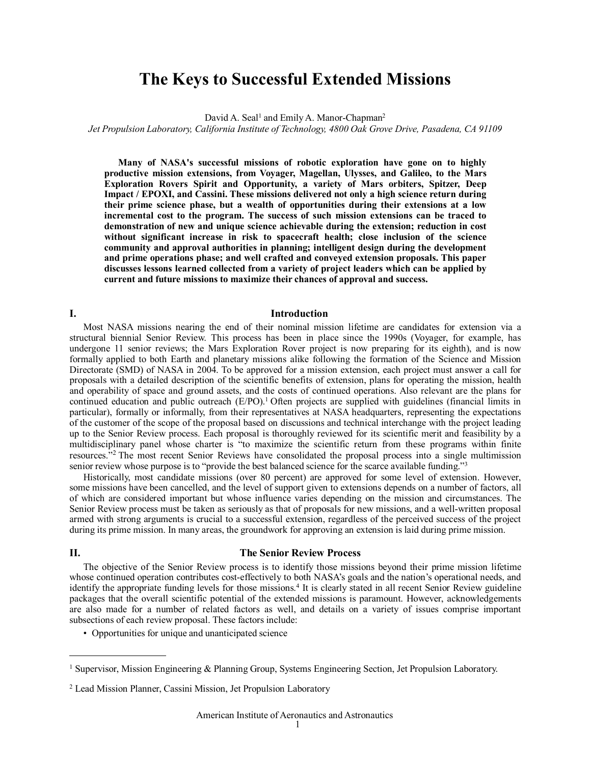# **The Keys to Successful Extended Missions**

David A. Seal<sup>1</sup> and Emily A. Manor-Chapman<sup>2</sup>

*Jet Propulsion Laboratory, California Institute of Technology, 4800 Oak Grove Drive, Pasadena, CA 91109*

**Many of NASA's successful missions of robotic exploration have gone on to highly productive mission extensions, from Voyager, Magellan, Ulysses, and Galileo, to the Mars Exploration Rovers Spirit and Opportunity, a variety of Mars orbiters, Spitzer, Deep Impact / EPOXI, and Cassini. These missions delivered not only a high science return during their prime science phase, but a wealth of opportunities during their extensions at a low incremental cost to the program. The success of such mission extensions can be traced to demonstration of new and unique science achievable during the extension; reduction in cost without significant increase in risk to spacecraft health; close inclusion of the science community and approval authorities in planning; intelligent design during the development and prime operations phase; and well crafted and conveyed extension proposals. This paper discusses lessons learned collected from a variety of project leaders which can be applied by current and future missions to maximize their chances of approval and success.**

# **I. Introduction**

Most NASA missions nearing the end of their nominal mission lifetime are candidates for extension via a structural biennial Senior Review. This process has been in place since the 1990s (Voyager, for example, has undergone 11 senior reviews; the Mars Exploration Rover project is now preparing for its eighth), and is now formally applied to both Earth and planetary missions alike following the formation of the Science and Mission Directorate (SMD) of NASA in 2004. To be approved for a mission extension, each project must answer a call for proposals with a detailed description of the scientific benefits of extension, plans for operating the mission, health and operability of space and ground assets, and the costs of continued operations. Also relevant are the plans for continued education and public outreach (E/PO).<sup>1</sup> Often projects are supplied with guidelines (financial limits in particular), formally or informally, from their representatives at NASA headquarters, representing the expectations of the customer of the scope of the proposal based on discussions and technical interchange with the project leading up to the Senior Review process. Each proposal is thoroughly reviewed for its scientific merit and feasibility by a multidisciplinary panel whose charter is "to maximize the scientific return from these programs within finite resources."2 The most recent Senior Reviews have consolidated the proposal process into a single multimission senior review whose purpose is to "provide the best balanced science for the scarce available funding."<sup>3</sup>

Historically, most candidate missions (over 80 percent) are approved for some level of extension. However, some missions have been cancelled, and the level of support given to extensions depends on a number of factors, all of which are considered important but whose influence varies depending on the mission and circumstances. The Senior Review process must be taken as seriously as that of proposals for new missions, and a well-written proposal armed with strong arguments is crucial to a successful extension, regardless of the perceived success of the project during its prime mission. In many areas, the groundwork for approving an extension is laid during prime mission.

# **II. The Senior Review Process**

The objective of the Senior Review process is to identify those missions beyond their prime mission lifetime whose continued operation contributes cost-effectively to both NASA's goals and the nation's operational needs, and identify the appropriate funding levels for those missions.4 It is clearly stated in all recent Senior Review guideline packages that the overall scientific potential of the extended missions is paramount. However, acknowledgements are also made for a number of related factors as well, and details on a variety of issues comprise important subsections of each review proposal. These factors include:

• Opportunities for unique and unanticipated science

<span id="page-0-0"></span><sup>1</sup> Supervisor, Mission Engineering & Planning Group, Systems Engineering Section, Jet Propulsion Laboratory.

<span id="page-0-1"></span><sup>2</sup> Lead Mission Planner, Cassini Mission, Jet Propulsion Laboratory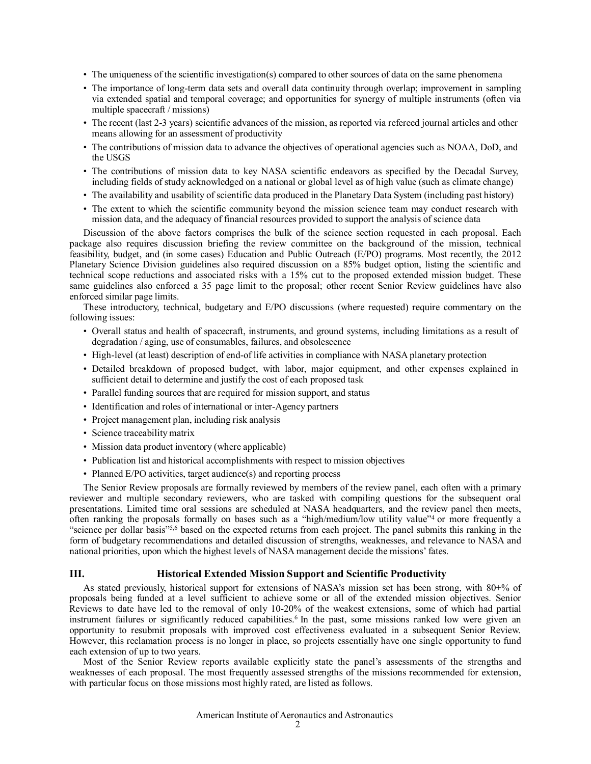- The uniqueness of the scientific investigation(s) compared to other sources of data on the same phenomena
- The importance of long-term data sets and overall data continuity through overlap; improvement in sampling via extended spatial and temporal coverage; and opportunities for synergy of multiple instruments (often via multiple spacecraft / missions)
- The recent (last 2-3 years) scientific advances of the mission, as reported via refereed journal articles and other means allowing for an assessment of productivity
- The contributions of mission data to advance the objectives of operational agencies such as NOAA, DoD, and the USGS
- The contributions of mission data to key NASA scientific endeavors as specified by the Decadal Survey, including fields of study acknowledged on a national or global level as of high value (such as climate change)
- The availability and usability of scientific data produced in the Planetary Data System (including past history)
- The extent to which the scientific community beyond the mission science team may conduct research with mission data, and the adequacy of financial resources provided to support the analysis of science data

Discussion of the above factors comprises the bulk of the science section requested in each proposal. Each package also requires discussion briefing the review committee on the background of the mission, technical feasibility, budget, and (in some cases) Education and Public Outreach (E/PO) programs. Most recently, the 2012 Planetary Science Division guidelines also required discussion on a 85% budget option, listing the scientific and technical scope reductions and associated risks with a 15% cut to the proposed extended mission budget. These same guidelines also enforced a 35 page limit to the proposal; other recent Senior Review guidelines have also enforced similar page limits.

These introductory, technical, budgetary and E/PO discussions (where requested) require commentary on the following issues:

- Overall status and health of spacecraft, instruments, and ground systems, including limitations as a result of degradation / aging, use of consumables, failures, and obsolescence
- High-level (at least) description of end-of life activities in compliance with NASA planetary protection
- Detailed breakdown of proposed budget, with labor, major equipment, and other expenses explained in sufficient detail to determine and justify the cost of each proposed task
- Parallel funding sources that are required for mission support, and status
- Identification and roles of international or inter-Agency partners
- Project management plan, including risk analysis
- Science traceability matrix
- Mission data product inventory (where applicable)
- Publication list and historical accomplishments with respect to mission objectives
- Planned E/PO activities, target audience(s) and reporting process

The Senior Review proposals are formally reviewed by members of the review panel, each often with a primary reviewer and multiple secondary reviewers, who are tasked with compiling questions for the subsequent oral presentations. Limited time oral sessions are scheduled at NASA headquarters, and the review panel then meets, often ranking the proposals formally on bases such as a "high/medium/low utility value"4 or more frequently a "science per dollar basis"5,6 based on the expected returns from each project. The panel submits this ranking in the form of budgetary recommendations and detailed discussion of strengths, weaknesses, and relevance to NASA and national priorities, upon which the highest levels of NASA management decide the missions' fates.

# **III. Historical Extended Mission Support and Scientific Productivity**

As stated previously, historical support for extensions of NASA's mission set has been strong, with 80+% of proposals being funded at a level sufficient to achieve some or all of the extended mission objectives. Senior Reviews to date have led to the removal of only 10-20% of the weakest extensions, some of which had partial instrument failures or significantly reduced capabilities.<sup>6</sup> In the past, some missions ranked low were given an opportunity to resubmit proposals with improved cost effectiveness evaluated in a subsequent Senior Review. However, this reclamation process is no longer in place, so projects essentially have one single opportunity to fund each extension of up to two years.

Most of the Senior Review reports available explicitly state the panel's assessments of the strengths and weaknesses of each proposal. The most frequently assessed strengths of the missions recommended for extension, with particular focus on those missions most highly rated, are listed as follows.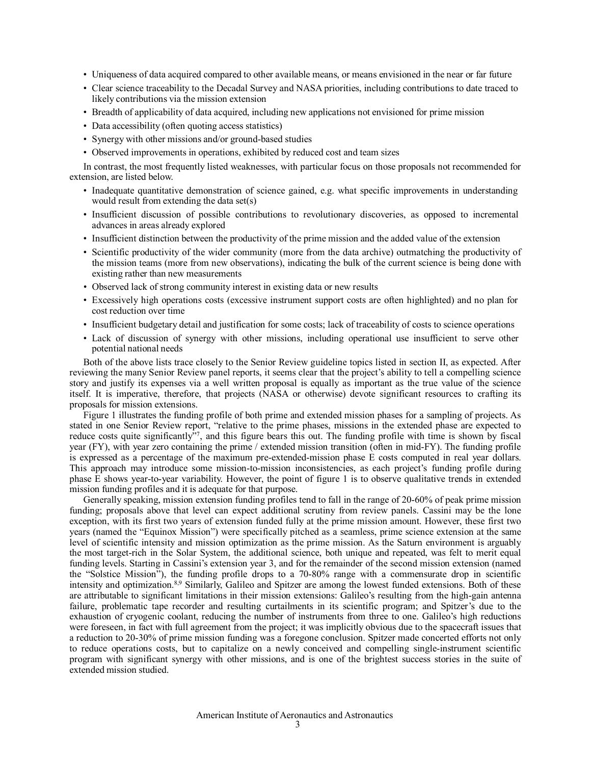- Uniqueness of data acquired compared to other available means, or means envisioned in the near or far future
- Clear science traceability to the Decadal Survey and NASA priorities, including contributions to date traced to likely contributions via the mission extension
- Breadth of applicability of data acquired, including new applications not envisioned for prime mission
- Data accessibility (often quoting access statistics)
- Synergy with other missions and/or ground-based studies
- Observed improvements in operations, exhibited by reduced cost and team sizes

In contrast, the most frequently listed weaknesses, with particular focus on those proposals not recommended for extension, are listed below.

- Inadequate quantitative demonstration of science gained, e.g. what specific improvements in understanding would result from extending the data set(s)
- Insufficient discussion of possible contributions to revolutionary discoveries, as opposed to incremental advances in areas already explored
- Insufficient distinction between the productivity of the prime mission and the added value of the extension
- Scientific productivity of the wider community (more from the data archive) outmatching the productivity of the mission teams (more from new observations), indicating the bulk of the current science is being done with existing rather than new measurements
- Observed lack of strong community interest in existing data or new results
- Excessively high operations costs (excessive instrument support costs are often highlighted) and no plan for cost reduction over time
- Insufficient budgetary detail and justification for some costs; lack of traceability of costs to science operations
- Lack of discussion of synergy with other missions, including operational use insufficient to serve other potential national needs

Both of the above lists trace closely to the Senior Review guideline topics listed in section II, as expected. After reviewing the many Senior Review panel reports, it seems clear that the project's ability to tell a compelling science story and justify its expenses via a well written proposal is equally as important as the true value of the science itself. It is imperative, therefore, that projects (NASA or otherwise) devote significant resources to crafting its proposals for mission extensions.

Figure 1 illustrates the funding profile of both prime and extended mission phases for a sampling of projects. As stated in one Senior Review report, "relative to the prime phases, missions in the extended phase are expected to reduce costs quite significantly"7, and this figure bears this out. The funding profile with time is shown by fiscal year (FY), with year zero containing the prime / extended mission transition (often in mid-FY). The funding profile is expressed as a percentage of the maximum pre-extended-mission phase E costs computed in real year dollars. This approach may introduce some mission-to-mission inconsistencies, as each project's funding profile during phase E shows year-to-year variability. However, the point of figure 1 is to observe qualitative trends in extended mission funding profiles and it is adequate for that purpose.

Generally speaking, mission extension funding profiles tend to fall in the range of 20-60% of peak prime mission funding; proposals above that level can expect additional scrutiny from review panels. Cassini may be the lone exception, with its first two years of extension funded fully at the prime mission amount. However, these first two years (named the "Equinox Mission") were specifically pitched as a seamless, prime science extension at the same level of scientific intensity and mission optimization as the prime mission. As the Saturn environment is arguably the most target-rich in the Solar System, the additional science, both unique and repeated, was felt to merit equal funding levels. Starting in Cassini's extension year 3, and for the remainder of the second mission extension (named the "Solstice Mission"), the funding profile drops to a 70-80% range with a commensurate drop in scientific intensity and optimization.8,9 Similarly, Galileo and Spitzer are among the lowest funded extensions. Both of these are attributable to significant limitations in their mission extensions: Galileo's resulting from the high-gain antenna failure, problematic tape recorder and resulting curtailments in its scientific program; and Spitzer's due to the exhaustion of cryogenic coolant, reducing the number of instruments from three to one. Galileo's high reductions were foreseen, in fact with full agreement from the project; it was implicitly obvious due to the spacecraft issues that a reduction to 20-30% of prime mission funding was a foregone conclusion. Spitzer made concerted efforts not only to reduce operations costs, but to capitalize on a newly conceived and compelling single-instrument scientific program with significant synergy with other missions, and is one of the brightest success stories in the suite of extended mission studied.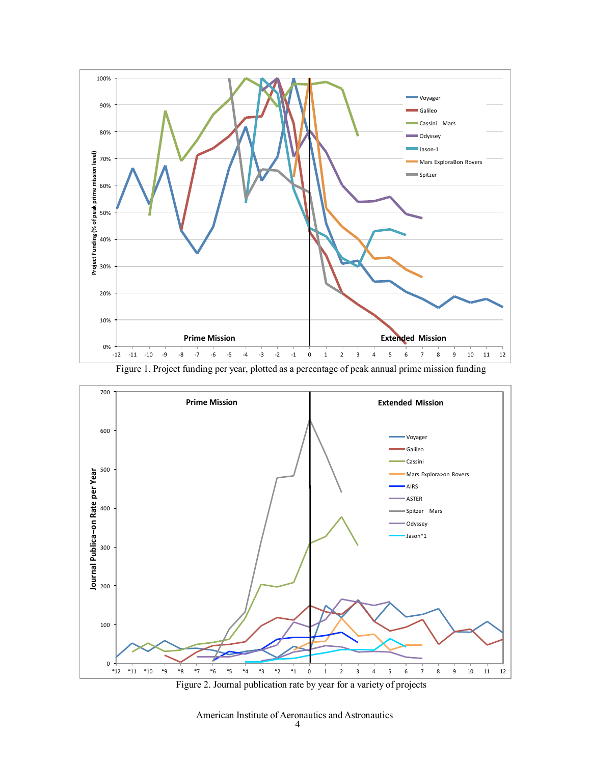

Figure 1. Project funding per year, plotted as a percentage of peak annual prime mission funding



Figure 2. Journal publication rate by year for a variety of projects

American Institute of Aeronautics and Astronautics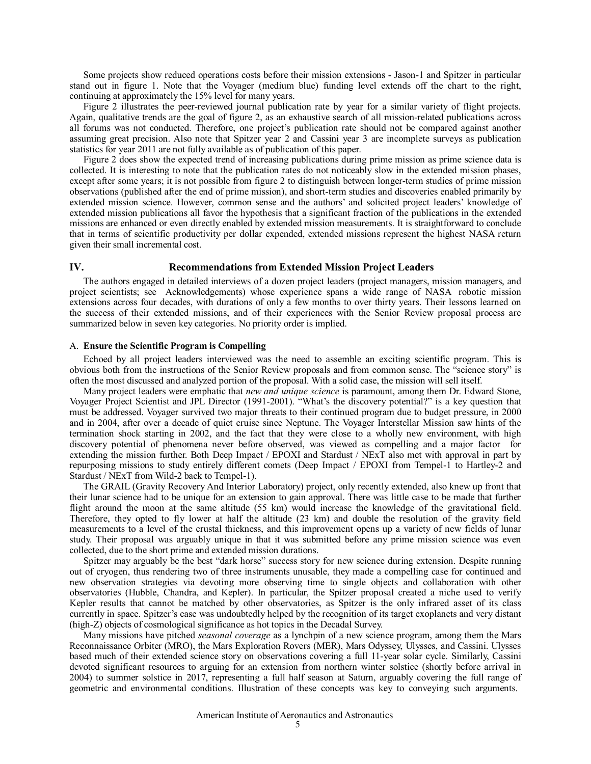Some projects show reduced operations costs before their mission extensions - Jason-1 and Spitzer in particular stand out in figure 1. Note that the Voyager (medium blue) funding level extends off the chart to the right, continuing at approximately the 15% level for many years.

Figure 2 illustrates the peer-reviewed journal publication rate by year for a similar variety of flight projects. Again, qualitative trends are the goal of figure 2, as an exhaustive search of all mission-related publications across all forums was not conducted. Therefore, one project's publication rate should not be compared against another assuming great precision. Also note that Spitzer year 2 and Cassini year 3 are incomplete surveys as publication statistics for year 2011 are not fully available as of publication of this paper.

Figure 2 does show the expected trend of increasing publications during prime mission as prime science data is collected. It is interesting to note that the publication rates do not noticeably slow in the extended mission phases, except after some years; it is not possible from figure 2 to distinguish between longer-term studies of prime mission observations (published after the end of prime mission), and short-term studies and discoveries enabled primarily by extended mission science. However, common sense and the authors' and solicited project leaders' knowledge of extended mission publications all favor the hypothesis that a significant fraction of the publications in the extended missions are enhanced or even directly enabled by extended mission measurements. It is straightforward to conclude that in terms of scientific productivity per dollar expended, extended missions represent the highest NASA return given their small incremental cost.

# **IV. Recommendations from Extended Mission Project Leaders**

The authors engaged in detailed interviews of a dozen project leaders (project managers, mission managers, and project scientists; see Acknowledgements) whose experience spans a wide range of NASA robotic mission extensions across four decades, with durations of only a few months to over thirty years. Their lessons learned on the success of their extended missions, and of their experiences with the Senior Review proposal process are summarized below in seven key categories. No priority order is implied.

# A. **Ensure the Scientific Program is Compelling**

Echoed by all project leaders interviewed was the need to assemble an exciting scientific program. This is obvious both from the instructions of the Senior Review proposals and from common sense. The "science story" is often the most discussed and analyzed portion of the proposal. With a solid case, the mission will sell itself.

Many project leaders were emphatic that *new and unique science* is paramount, among them Dr. Edward Stone, Voyager Project Scientist and JPL Director (1991-2001). "What's the discovery potential?" is a key question that must be addressed. Voyager survived two major threats to their continued program due to budget pressure, in 2000 and in 2004, after over a decade of quiet cruise since Neptune. The Voyager Interstellar Mission saw hints of the termination shock starting in 2002, and the fact that they were close to a wholly new environment, with high discovery potential of phenomena never before observed, was viewed as compelling and a major factor for extending the mission further. Both Deep Impact / EPOXI and Stardust / NExT also met with approval in part by repurposing missions to study entirely different comets (Deep Impact / EPOXI from Tempel-1 to Hartley-2 and Stardust / NExT from Wild-2 back to Tempel-1).

The GRAIL (Gravity Recovery And Interior Laboratory) project, only recently extended, also knew up front that their lunar science had to be unique for an extension to gain approval. There was little case to be made that further flight around the moon at the same altitude (55 km) would increase the knowledge of the gravitational field. Therefore, they opted to fly lower at half the altitude (23 km) and double the resolution of the gravity field measurements to a level of the crustal thickness, and this improvement opens up a variety of new fields of lunar study. Their proposal was arguably unique in that it was submitted before any prime mission science was even collected, due to the short prime and extended mission durations.

Spitzer may arguably be the best "dark horse" success story for new science during extension. Despite running out of cryogen, thus rendering two of three instruments unusable, they made a compelling case for continued and new observation strategies via devoting more observing time to single objects and collaboration with other observatories (Hubble, Chandra, and Kepler). In particular, the Spitzer proposal created a niche used to verify Kepler results that cannot be matched by other observatories, as Spitzer is the only infrared asset of its class currently in space. Spitzer's case was undoubtedly helped by the recognition of its target exoplanets and very distant (high-Z) objects of cosmological significance as hot topics in the Decadal Survey.

Many missions have pitched *seasonal coverage* as a lynchpin of a new science program, among them the Mars Reconnaissance Orbiter (MRO), the Mars Exploration Rovers (MER), Mars Odyssey, Ulysses, and Cassini. Ulysses based much of their extended science story on observations covering a full 11-year solar cycle. Similarly, Cassini devoted significant resources to arguing for an extension from northern winter solstice (shortly before arrival in 2004) to summer solstice in 2017, representing a full half season at Saturn, arguably covering the full range of geometric and environmental conditions. Illustration of these concepts was key to conveying such arguments.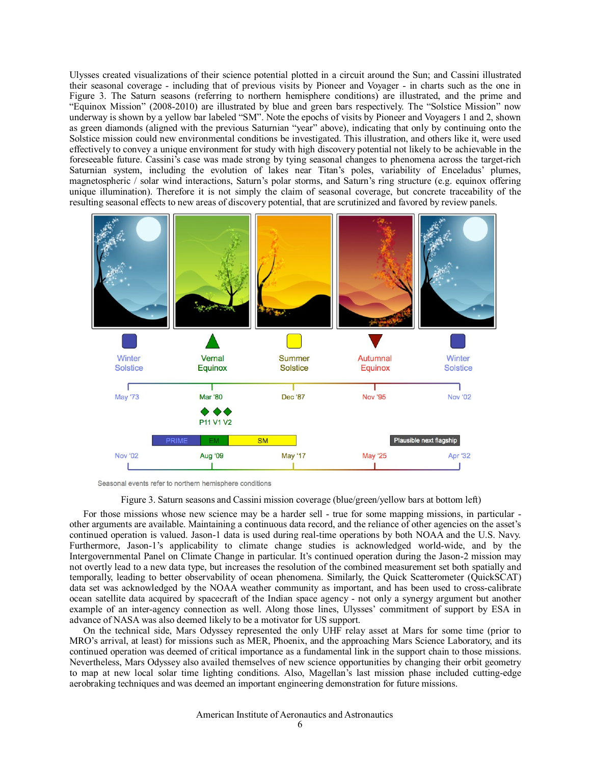Ulysses created visualizations of their science potential plotted in a circuit around the Sun; and Cassini illustrated their seasonal coverage - including that of previous visits by Pioneer and Voyager - in charts such as the one in Figure 3. The Saturn seasons (referring to northern hemisphere conditions) are illustrated, and the prime and "Equinox Mission" (2008-2010) are illustrated by blue and green bars respectively. The "Solstice Mission" now underway is shown by a yellow bar labeled "SM". Note the epochs of visits by Pioneer and Voyagers 1 and 2, shown as green diamonds (aligned with the previous Saturnian "year" above), indicating that only by continuing onto the Solstice mission could new environmental conditions be investigated. This illustration, and others like it, were used effectively to convey a unique environment for study with high discovery potential not likely to be achievable in the foreseeable future. Cassini's case was made strong by tying seasonal changes to phenomena across the target-rich Saturnian system, including the evolution of lakes near Titan's poles, variability of Enceladus' plumes, magnetospheric / solar wind interactions, Saturn's polar storms, and Saturn's ring structure (e.g. equinox offering unique illumination). Therefore it is not simply the claim of seasonal coverage, but concrete traceability of the resulting seasonal effects to new areas of discovery potential, that are scrutinized and favored by review panels.



Seasonal events refer to northern hemisphere conditions

Figure 3. Saturn seasons and Cassini mission coverage (blue/green/yellow bars at bottom left)

For those missions whose new science may be a harder sell - true for some mapping missions, in particular other arguments are available. Maintaining a continuous data record, and the reliance of other agencies on the asset's continued operation is valued. Jason-1 data is used during real-time operations by both NOAA and the U.S. Navy. Furthermore, Jason-1's applicability to climate change studies is acknowledged world-wide, and by the Intergovernmental Panel on Climate Change in particular. It's continued operation during the Jason-2 mission may not overtly lead to a new data type, but increases the resolution of the combined measurement set both spatially and temporally, leading to better observability of ocean phenomena. Similarly, the Quick Scatterometer (QuickSCAT) data set was acknowledged by the NOAA weather community as important, and has been used to cross-calibrate ocean satellite data acquired by spacecraft of the Indian space agency - not only a synergy argument but another example of an inter-agency connection as well. Along those lines, Ulysses' commitment of support by ESA in advance of NASA was also deemed likely to be a motivator for US support.

On the technical side, Mars Odyssey represented the only UHF relay asset at Mars for some time (prior to MRO's arrival, at least) for missions such as MER, Phoenix, and the approaching Mars Science Laboratory, and its continued operation was deemed of critical importance as a fundamental link in the support chain to those missions. Nevertheless, Mars Odyssey also availed themselves of new science opportunities by changing their orbit geometry to map at new local solar time lighting conditions. Also, Magellan's last mission phase included cutting-edge aerobraking techniques and was deemed an important engineering demonstration for future missions.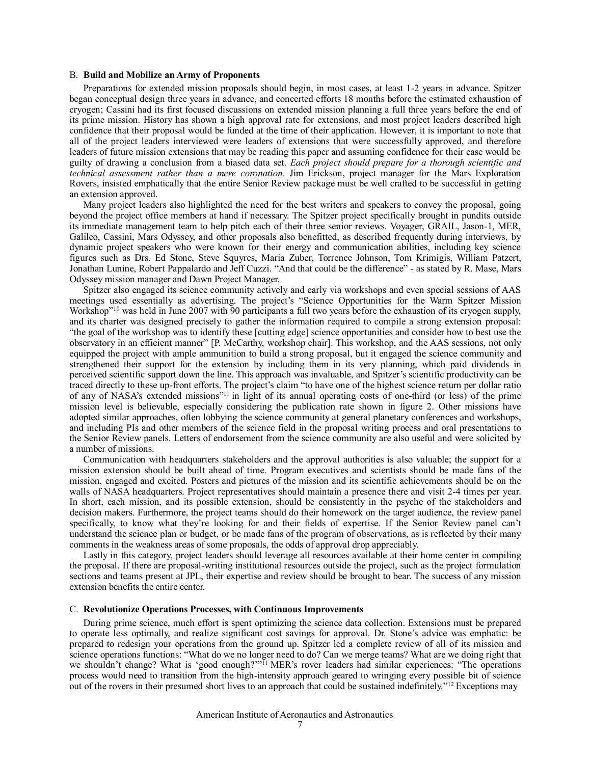### B. **Build and Mobilize an Army of Proponents**

Preparations for extended mission proposals should begin, in most cases, at least 1-2 years in advance. Spitzer began conceptual design three years in advance, and concerted efforts 18 months before the estimated exhaustion of cryogen; Cassini had its first focused discussions on extended mission planning a full three years before the end of its prime mission. History has shown a high approval rate for extensions, and most project leaders described high confidence that their proposal would be funded at the time of their application. However, it is important to note that all of the project leaders interviewed were leaders of extensions that were successfully approved, and therefore leaders of future mission extensions that may be reading this paper and assuming confidence for their case would be guilty of drawing a conclusion from a biased data set. *Each project should prepare for a thorough scientific and technical assessment rather than a mere coronation.* Jim Erickson, project manager for the Mars Exploration Rovers, insisted emphatically that the entire Senior Review package must be well crafted to be successful in getting an extension approved.

Many project leaders also highlighted the need for the best writers and speakers to convey the proposal, going beyond the project office members at hand if necessary. The Spitzer project specifically brought in pundits outside its immediate management team to help pitch each of their three senior reviews. Voyager, GRAIL, Jason-1, MER, Galileo, Cassini, Mars Odyssey, and other proposals also benefitted, as described frequently during interviews, by dynamic project speakers who were known for their energy and communication abilities, including key science figures such as Drs. Ed Stone, Steve Squyres, Maria Zuber, Torrence Johnson, Tom Krimigis, William Patzert, Jonathan Lunine, Robert Pappalardo and Jeff Cuzzi. "And that could be the difference" - as stated by R. Mase, Mars Odyssey mission manager and Dawn Project Manager.

Spitzer also engaged its science community actively and early via workshops and even special sessions of AAS meetings used essentially as advertising. The project's "Science Opportunities for the Warm Spitzer Mission Workshop"<sup>10</sup> was held in June 2007 with 90 participants a full two years before the exhaustion of its cryogen supply, and its charter was designed precisely to gather the information required to compile a strong extension proposal: "the goal of the workshop was to identify these [cutting edge] science opportunities and consider how to best use the observatory in an efficient manner" [P. McCarthy, workshop chair]. This workshop, and the AAS sessions, not only equipped the project with ample ammunition to build a strong proposal, but it engaged the science community and strengthened their support for the extension by including them in its very planning, which paid dividends in perceived scientific support down the line. This approach was invaluable, and Spitzer's scientific productivity can be traced directly to these up-front efforts. The project's claim "to have one of the highest science return per dollar ratio of any of NASA's extended missions"11 in light of its annual operating costs of one-third (or less) of the prime mission level is believable, especially considering the publication rate shown in figure 2. Other missions have adopted similar approaches, often lobbying the science community at general planetary conferences and workshops, and including PIs and other members of the science field in the proposal writing process and oral presentations to the Senior Review panels. Letters of endorsement from the science community are also useful and were solicited by a number of missions.

Communication with headquarters stakeholders and the approval authorities is also valuable; the support for a mission extension should be built ahead of time. Program executives and scientists should be made fans of the mission, engaged and excited. Posters and pictures of the mission and its scientific achievements should be on the walls of NASA headquarters. Project representatives should maintain a presence there and visit 2-4 times per year. In short, each mission, and its possible extension, should be consistently in the psyche of the stakeholders and decision makers. Furthermore, the project teams should do their homework on the target audience, the review panel specifically, to know what they're looking for and their fields of expertise. If the Senior Review panel can't understand the science plan or budget, or be made fans of the program of observations, as is reflected by their many comments in the weakness areas of some proposals, the odds of approval drop appreciably.

Lastly in this category, project leaders should leverage all resources available at their home center in compiling the proposal. If there are proposal-writing institutional resources outside the project, such as the project formulation sections and teams present at JPL, their expertise and review should be brought to bear. The success of any mission extension benefits the entire center.

#### C. **Revolutionize Operations Processes, with Continuous Improvements**

During prime science, much effort is spent optimizing the science data collection. Extensions must be prepared to operate less optimally, and realize significant cost savings for approval. Dr. Stone's advice was emphatic: be prepared to redesign your operations from the ground up. Spitzer led a complete review of all of its mission and science operations functions: "What do we no longer need to do? Can we merge teams? What are we doing right that we shouldn't change? What is 'good enough?"<sup>11</sup> MER's rover leaders had similar experiences: "The operations" process would need to transition from the high-intensity approach geared to wringing every possible bit of science out of the rovers in their presumed short lives to an approach that could be sustained indefinitely."12 Exceptions may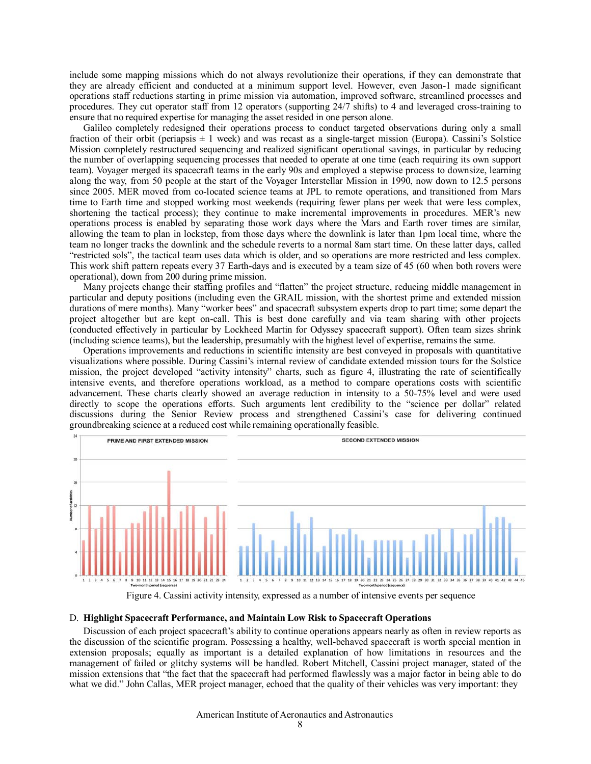include some mapping missions which do not always revolutionize their operations, if they can demonstrate that they are already efficient and conducted at a minimum support level. However, even Jason-1 made significant operations staff reductions starting in prime mission via automation, improved software, streamlined processes and procedures. They cut operator staff from 12 operators (supporting 24/7 shifts) to 4 and leveraged cross-training to ensure that no required expertise for managing the asset resided in one person alone.

Galileo completely redesigned their operations process to conduct targeted observations during only a small fraction of their orbit (periapsis  $\pm 1$  week) and was recast as a single-target mission (Europa). Cassini's Solstice Mission completely restructured sequencing and realized significant operational savings, in particular by reducing the number of overlapping sequencing processes that needed to operate at one time (each requiring its own support team). Voyager merged its spacecraft teams in the early 90s and employed a stepwise process to downsize, learning along the way, from 50 people at the start of the Voyager Interstellar Mission in 1990, now down to 12.5 persons since 2005. MER moved from co-located science teams at JPL to remote operations, and transitioned from Mars time to Earth time and stopped working most weekends (requiring fewer plans per week that were less complex, shortening the tactical process); they continue to make incremental improvements in procedures. MER's new operations process is enabled by separating those work days where the Mars and Earth rover times are similar, allowing the team to plan in lockstep, from those days where the downlink is later than 1pm local time, where the team no longer tracks the downlink and the schedule reverts to a normal 8am start time. On these latter days, called "restricted sols", the tactical team uses data which is older, and so operations are more restricted and less complex. This work shift pattern repeats every 37 Earth-days and is executed by a team size of 45 (60 when both rovers were operational), down from 200 during prime mission.

Many projects change their staffing profiles and "flatten" the project structure, reducing middle management in particular and deputy positions (including even the GRAIL mission, with the shortest prime and extended mission durations of mere months). Many "worker bees" and spacecraft subsystem experts drop to part time; some depart the project altogether but are kept on-call. This is best done carefully and via team sharing with other projects (conducted effectively in particular by Lockheed Martin for Odyssey spacecraft support). Often team sizes shrink (including science teams), but the leadership, presumably with the highest level of expertise, remains the same.

Operations improvements and reductions in scientific intensity are best conveyed in proposals with quantitative visualizations where possible. During Cassini's internal review of candidate extended mission tours for the Solstice mission, the project developed "activity intensity" charts, such as figure 4, illustrating the rate of scientifically intensive events, and therefore operations workload, as a method to compare operations costs with scientific advancement. These charts clearly showed an average reduction in intensity to a 50-75% level and were used directly to scope the operations efforts. Such arguments lent credibility to the "science per dollar" related discussions during the Senior Review process and strengthened Cassini's case for delivering continued groundbreaking science at a reduced cost while remaining operationally feasible.



Figure 4. Cassini activity intensity, expressed as a number of intensive events per sequence

#### D. **Highlight Spacecraft Performance, and Maintain Low Risk to Spacecraft Operations**

Discussion of each project spacecraft's ability to continue operations appears nearly as often in review reports as the discussion of the scientific program. Possessing a healthy, well-behaved spacecraft is worth special mention in extension proposals; equally as important is a detailed explanation of how limitations in resources and the management of failed or glitchy systems will be handled. Robert Mitchell, Cassini project manager, stated of the mission extensions that "the fact that the spacecraft had performed flawlessly was a major factor in being able to do what we did." John Callas, MER project manager, echoed that the quality of their vehicles was very important: they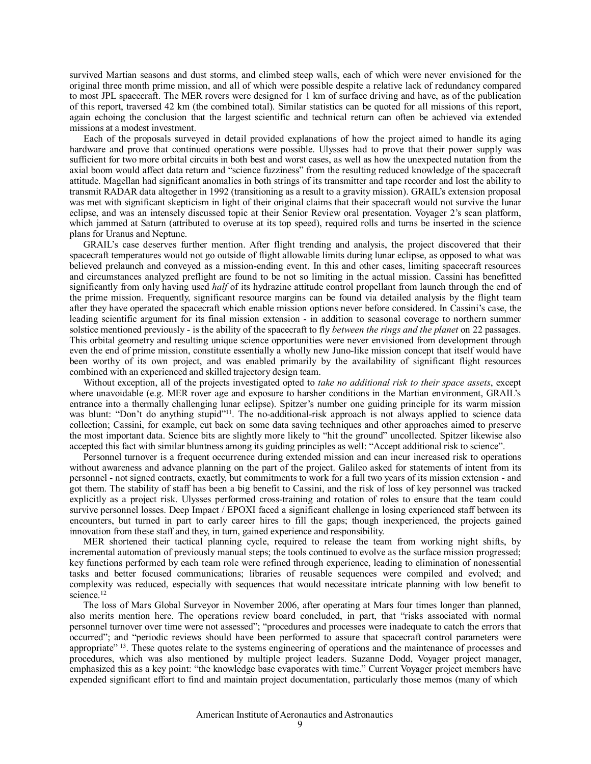survived Martian seasons and dust storms, and climbed steep walls, each of which were never envisioned for the original three month prime mission, and all of which were possible despite a relative lack of redundancy compared to most JPL spacecraft. The MER rovers were designed for 1 km of surface driving and have, as of the publication of this report, traversed 42 km (the combined total). Similar statistics can be quoted for all missions of this report, again echoing the conclusion that the largest scientific and technical return can often be achieved via extended missions at a modest investment.

Each of the proposals surveyed in detail provided explanations of how the project aimed to handle its aging hardware and prove that continued operations were possible. Ulysses had to prove that their power supply was sufficient for two more orbital circuits in both best and worst cases, as well as how the unexpected nutation from the axial boom would affect data return and "science fuzziness" from the resulting reduced knowledge of the spacecraft attitude. Magellan had significant anomalies in both strings of its transmitter and tape recorder and lost the ability to transmit RADAR data altogether in 1992 (transitioning as a result to a gravity mission). GRAIL's extension proposal was met with significant skepticism in light of their original claims that their spacecraft would not survive the lunar eclipse, and was an intensely discussed topic at their Senior Review oral presentation. Voyager 2's scan platform, which jammed at Saturn (attributed to overuse at its top speed), required rolls and turns be inserted in the science plans for Uranus and Neptune.

GRAIL's case deserves further mention. After flight trending and analysis, the project discovered that their spacecraft temperatures would not go outside of flight allowable limits during lunar eclipse, as opposed to what was believed prelaunch and conveyed as a mission-ending event. In this and other cases, limiting spacecraft resources and circumstances analyzed preflight are found to be not so limiting in the actual mission. Cassini has benefitted significantly from only having used *half* of its hydrazine attitude control propellant from launch through the end of the prime mission. Frequently, significant resource margins can be found via detailed analysis by the flight team after they have operated the spacecraft which enable mission options never before considered. In Cassini's case, the leading scientific argument for its final mission extension - in addition to seasonal coverage to northern summer solstice mentioned previously - is the ability of the spacecraft to fly *between the rings and the planet* on 22 passages. This orbital geometry and resulting unique science opportunities were never envisioned from development through even the end of prime mission, constitute essentially a wholly new Juno-like mission concept that itself would have been worthy of its own project, and was enabled primarily by the availability of significant flight resources combined with an experienced and skilled trajectory design team.

Without exception, all of the projects investigated opted to *take no additional risk to their space assets*, except where unavoidable (e.g. MER rover age and exposure to harsher conditions in the Martian environment, GRAIL's entrance into a thermally challenging lunar eclipse). Spitzer's number one guiding principle for its warm mission was blunt: "Don't do anything stupid"<sup>11</sup>. The no-additional-risk approach is not always applied to science data collection; Cassini, for example, cut back on some data saving techniques and other approaches aimed to preserve the most important data. Science bits are slightly more likely to "hit the ground" uncollected. Spitzer likewise also accepted this fact with similar bluntness among its guiding principles as well: "Accept additional risk to science".

Personnel turnover is a frequent occurrence during extended mission and can incur increased risk to operations without awareness and advance planning on the part of the project. Galileo asked for statements of intent from its personnel - not signed contracts, exactly, but commitments to work for a full two years of its mission extension - and got them. The stability of staff has been a big benefit to Cassini, and the risk of loss of key personnel was tracked explicitly as a project risk. Ulysses performed cross-training and rotation of roles to ensure that the team could survive personnel losses. Deep Impact / EPOXI faced a significant challenge in losing experienced staff between its encounters, but turned in part to early career hires to fill the gaps; though inexperienced, the projects gained innovation from these staff and they, in turn, gained experience and responsibility.

MER shortened their tactical planning cycle, required to release the team from working night shifts, by incremental automation of previously manual steps; the tools continued to evolve as the surface mission progressed; key functions performed by each team role were refined through experience, leading to elimination of nonessential tasks and better focused communications; libraries of reusable sequences were compiled and evolved; and complexity was reduced, especially with sequences that would necessitate intricate planning with low benefit to science.<sup>12</sup>

The loss of Mars Global Surveyor in November 2006, after operating at Mars four times longer than planned, also merits mention here. The operations review board concluded, in part, that "risks associated with normal personnel turnover over time were not assessed"; "procedures and processes were inadequate to catch the errors that occurred"; and "periodic reviews should have been performed to assure that spacecraft control parameters were appropriate" <sup>13</sup>. These quotes relate to the systems engineering of operations and the maintenance of processes and procedures, which was also mentioned by multiple project leaders. Suzanne Dodd, Voyager project manager, emphasized this as a key point: "the knowledge base evaporates with time." Current Voyager project members have expended significant effort to find and maintain project documentation, particularly those memos (many of which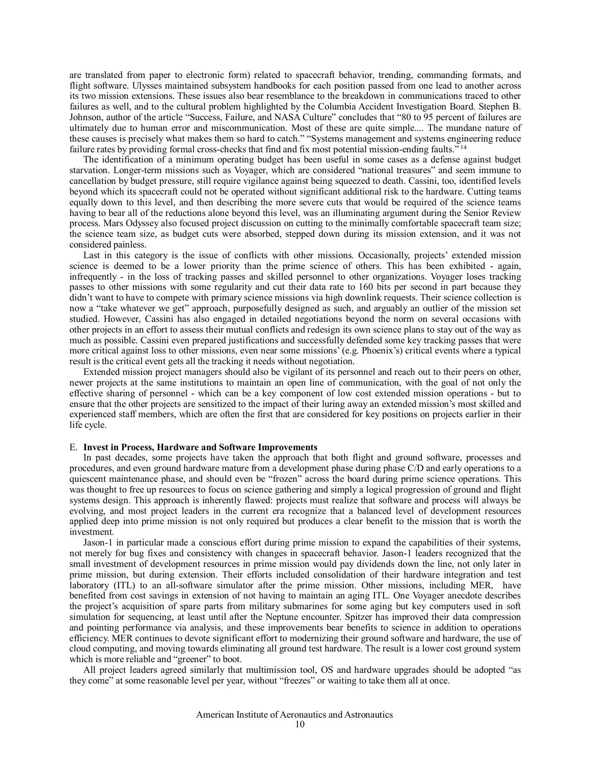are translated from paper to electronic form) related to spacecraft behavior, trending, commanding formats, and flight software. Ulysses maintained subsystem handbooks for each position passed from one lead to another across its two mission extensions. These issues also bear resemblance to the breakdown in communications traced to other failures as well, and to the cultural problem highlighted by the Columbia Accident Investigation Board. Stephen B. Johnson, author of the article "Success, Failure, and NASA Culture" concludes that "80 to 95 percent of failures are ultimately due to human error and miscommunication. Most of these are quite simple.... The mundane nature of these causes is precisely what makes them so hard to catch." "Systems management and systems engineering reduce failure rates by providing formal cross-checks that find and fix most potential mission-ending faults." <sup>14</sup>

The identification of a minimum operating budget has been useful in some cases as a defense against budget starvation. Longer-term missions such as Voyager, which are considered "national treasures" and seem immune to cancellation by budget pressure, still require vigilance against being squeezed to death. Cassini, too, identified levels beyond which its spacecraft could not be operated without significant additional risk to the hardware. Cutting teams equally down to this level, and then describing the more severe cuts that would be required of the science teams having to bear all of the reductions alone beyond this level, was an illuminating argument during the Senior Review process. Mars Odyssey also focused project discussion on cutting to the minimally comfortable spacecraft team size; the science team size, as budget cuts were absorbed, stepped down during its mission extension, and it was not considered painless.

Last in this category is the issue of conflicts with other missions. Occasionally, projects' extended mission science is deemed to be a lower priority than the prime science of others. This has been exhibited - again, infrequently - in the loss of tracking passes and skilled personnel to other organizations. Voyager loses tracking passes to other missions with some regularity and cut their data rate to 160 bits per second in part because they didn't want to have to compete with primary science missions via high downlink requests. Their science collection is now a "take whatever we get" approach, purposefully designed as such, and arguably an outlier of the mission set studied. However, Cassini has also engaged in detailed negotiations beyond the norm on several occasions with other projects in an effort to assess their mutual conflicts and redesign its own science plans to stay out of the way as much as possible. Cassini even prepared justifications and successfully defended some key tracking passes that were more critical against loss to other missions, even near some missions' (e.g. Phoenix's) critical events where a typical result is the critical event gets all the tracking it needs without negotiation.

Extended mission project managers should also be vigilant of its personnel and reach out to their peers on other, newer projects at the same institutions to maintain an open line of communication, with the goal of not only the effective sharing of personnel - which can be a key component of low cost extended mission operations - but to ensure that the other projects are sensitized to the impact of their luring away an extended mission's most skilled and experienced staff members, which are often the first that are considered for key positions on projects earlier in their life cycle.

### E. **Invest in Process, Hardware and Software Improvements**

In past decades, some projects have taken the approach that both flight and ground software, processes and procedures, and even ground hardware mature from a development phase during phase C/D and early operations to a quiescent maintenance phase, and should even be "frozen" across the board during prime science operations. This was thought to free up resources to focus on science gathering and simply a logical progression of ground and flight systems design. This approach is inherently flawed: projects must realize that software and process will always be evolving, and most project leaders in the current era recognize that a balanced level of development resources applied deep into prime mission is not only required but produces a clear benefit to the mission that is worth the investment.

Jason-1 in particular made a conscious effort during prime mission to expand the capabilities of their systems, not merely for bug fixes and consistency with changes in spacecraft behavior. Jason-1 leaders recognized that the small investment of development resources in prime mission would pay dividends down the line, not only later in prime mission, but during extension. Their efforts included consolidation of their hardware integration and test laboratory (ITL) to an all-software simulator after the prime mission. Other missions, including MER, have benefited from cost savings in extension of not having to maintain an aging ITL. One Voyager anecdote describes the project's acquisition of spare parts from military submarines for some aging but key computers used in soft simulation for sequencing, at least until after the Neptune encounter. Spitzer has improved their data compression and pointing performance via analysis, and these improvements bear benefits to science in addition to operations efficiency. MER continues to devote significant effort to modernizing their ground software and hardware, the use of cloud computing, and moving towards eliminating all ground test hardware. The result is a lower cost ground system which is more reliable and "greener" to boot.

All project leaders agreed similarly that multimission tool, OS and hardware upgrades should be adopted "as they come" at some reasonable level per year, without "freezes" or waiting to take them all at once.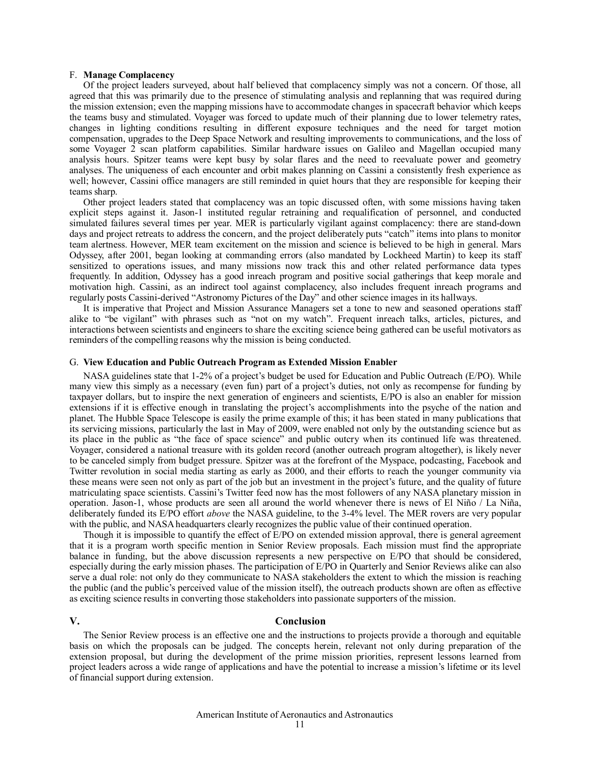# F. **Manage Complacency**

Of the project leaders surveyed, about half believed that complacency simply was not a concern. Of those, all agreed that this was primarily due to the presence of stimulating analysis and replanning that was required during the mission extension; even the mapping missions have to accommodate changes in spacecraft behavior which keeps the teams busy and stimulated. Voyager was forced to update much of their planning due to lower telemetry rates, changes in lighting conditions resulting in different exposure techniques and the need for target motion compensation, upgrades to the Deep Space Network and resulting improvements to communications, and the loss of some Voyager 2 scan platform capabilities. Similar hardware issues on Galileo and Magellan occupied many analysis hours. Spitzer teams were kept busy by solar flares and the need to reevaluate power and geometry analyses. The uniqueness of each encounter and orbit makes planning on Cassini a consistently fresh experience as well; however, Cassini office managers are still reminded in quiet hours that they are responsible for keeping their teams sharp.

Other project leaders stated that complacency was an topic discussed often, with some missions having taken explicit steps against it. Jason-1 instituted regular retraining and requalification of personnel, and conducted simulated failures several times per year. MER is particularly vigilant against complacency: there are stand-down days and project retreats to address the concern, and the project deliberately puts "catch" items into plans to monitor team alertness. However, MER team excitement on the mission and science is believed to be high in general. Mars Odyssey, after 2001, began looking at commanding errors (also mandated by Lockheed Martin) to keep its staff sensitized to operations issues, and many missions now track this and other related performance data types frequently. In addition, Odyssey has a good inreach program and positive social gatherings that keep morale and motivation high. Cassini, as an indirect tool against complacency, also includes frequent inreach programs and regularly posts Cassini-derived "Astronomy Pictures of the Day" and other science images in its hallways.

It is imperative that Project and Mission Assurance Managers set a tone to new and seasoned operations staff alike to "be vigilant" with phrases such as "not on my watch". Frequent inreach talks, articles, pictures, and interactions between scientists and engineers to share the exciting science being gathered can be useful motivators as reminders of the compelling reasons why the mission is being conducted.

#### G. **View Education and Public Outreach Program as Extended Mission Enabler**

NASA guidelines state that 1-2% of a project's budget be used for Education and Public Outreach (E/PO). While many view this simply as a necessary (even fun) part of a project's duties, not only as recompense for funding by taxpayer dollars, but to inspire the next generation of engineers and scientists, E/PO is also an enabler for mission extensions if it is effective enough in translating the project's accomplishments into the psyche of the nation and planet. The Hubble Space Telescope is easily the prime example of this; it has been stated in many publications that its servicing missions, particularly the last in May of 2009, were enabled not only by the outstanding science but as its place in the public as "the face of space science" and public outcry when its continued life was threatened. Voyager, considered a national treasure with its golden record (another outreach program altogether), is likely never to be canceled simply from budget pressure. Spitzer was at the forefront of the Myspace, podcasting, Facebook and Twitter revolution in social media starting as early as 2000, and their efforts to reach the younger community via these means were seen not only as part of the job but an investment in the project's future, and the quality of future matriculating space scientists. Cassini's Twitter feed now has the most followers of any NASA planetary mission in operation. Jason-1, whose products are seen all around the world whenever there is news of El Niño / La Niña, deliberately funded its E/PO effort *above* the NASA guideline, to the 3-4% level. The MER rovers are very popular with the public, and NASA headquarters clearly recognizes the public value of their continued operation.

Though it is impossible to quantify the effect of E/PO on extended mission approval, there is general agreement that it is a program worth specific mention in Senior Review proposals. Each mission must find the appropriate balance in funding, but the above discussion represents a new perspective on E/PO that should be considered, especially during the early mission phases. The participation of E/PO in Quarterly and Senior Reviews alike can also serve a dual role: not only do they communicate to NASA stakeholders the extent to which the mission is reaching the public (and the public's perceived value of the mission itself), the outreach products shown are often as effective as exciting science results in converting those stakeholders into passionate supporters of the mission.

# **V. Conclusion**

The Senior Review process is an effective one and the instructions to projects provide a thorough and equitable basis on which the proposals can be judged. The concepts herein, relevant not only during preparation of the extension proposal, but during the development of the prime mission priorities, represent lessons learned from project leaders across a wide range of applications and have the potential to increase a mission's lifetime or its level of financial support during extension.